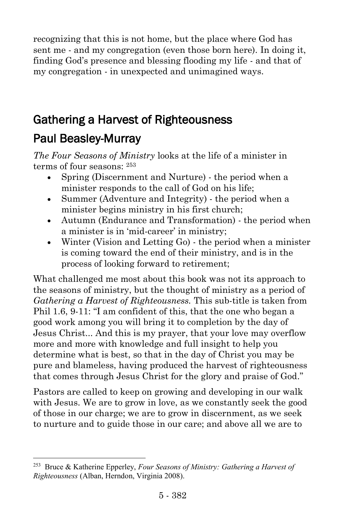recognizing that this is not home, but the place where God has sent me - and my congregation (even those born here). In doing it, finding God's presence and blessing flooding my life - and that of my congregation - in unexpected and unimagined ways.

# Gathering a Harvest of Righteousness Paul Beasley-Murray

*The Four Seasons of Ministry* looks at the life of a minister in terms of four seasons: <sup>253</sup>

- Spring (Discernment and Nurture) the period when a minister responds to the call of God on his life;
- Summer (Adventure and Integrity) the period when a minister begins ministry in his first church;
- Autumn (Endurance and Transformation) the period when a minister is in 'mid-career' in ministry;
- Winter (Vision and Letting Go) the period when a minister is coming toward the end of their ministry, and is in the process of looking forward to retirement;

What challenged me most about this book was not its approach to the seasons of ministry, but the thought of ministry as a period of *Gathering a Harvest of Righteousness.* This sub-title is taken from Phil 1.6, 9-11: "I am confident of this, that the one who began a good work among you will bring it to completion by the day of Jesus Christ... And this is my prayer, that your love may overflow more and more with knowledge and full insight to help you determine what is best, so that in the day of Christ you may be pure and blameless, having produced the harvest of righteousness that comes through Jesus Christ for the glory and praise of God."

Pastors are called to keep on growing and developing in our walk with Jesus. We are to grow in love, as we constantly seek the good of those in our charge; we are to grow in discernment, as we seek to nurture and to guide those in our care; and above all we are to

l

<sup>253</sup> Bruce & Katherine Epperley, *Four Seasons of Ministry: Gathering a Harvest of Righteousness* (Alban, Herndon, Virginia 2008).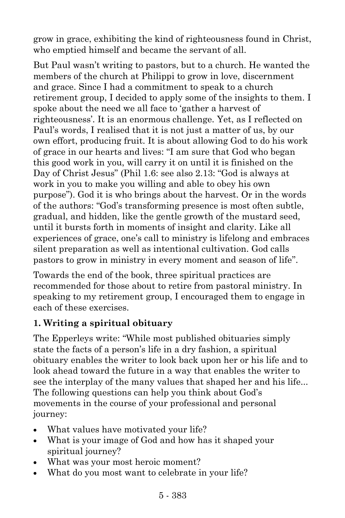grow in grace, exhibiting the kind of righteousness found in Christ, who emptied himself and became the servant of all.

But Paul wasn't writing to pastors, but to a church. He wanted the members of the church at Philippi to grow in love, discernment and grace. Since I had a commitment to speak to a church retirement group, I decided to apply some of the insights to them. I spoke about the need we all face to 'gather a harvest of righteousness'. It is an enormous challenge. Yet, as I reflected on Paul's words, I realised that it is not just a matter of us, by our own effort, producing fruit. It is about allowing God to do his work of grace in our hearts and lives: "I am sure that God who began this good work in you, will carry it on until it is finished on the Day of Christ Jesus" (Phil 1.6: see also 2.13: "God is always at work in you to make you willing and able to obey his own purpose"). God it is who brings about the harvest. Or in the words of the authors: "God's transforming presence is most often subtle, gradual, and hidden, like the gentle growth of the mustard seed, until it bursts forth in moments of insight and clarity. Like all experiences of grace, one's call to ministry is lifelong and embraces silent preparation as well as intentional cultivation. God calls pastors to grow in ministry in every moment and season of life".

Towards the end of the book, three spiritual practices are recommended for those about to retire from pastoral ministry. In speaking to my retirement group, I encouraged them to engage in each of these exercises.

### **1. Writing a spiritual obituary**

The Epperleys write: "While most published obituaries simply state the facts of a person's life in a dry fashion, a spiritual obituary enables the writer to look back upon her or his life and to look ahead toward the future in a way that enables the writer to see the interplay of the many values that shaped her and his life... The following questions can help you think about God's movements in the course of your professional and personal journey:

- What values have motivated your life?
- What is your image of God and how has it shaped your spiritual journey?
- What was your most heroic moment?
- What do you most want to celebrate in your life?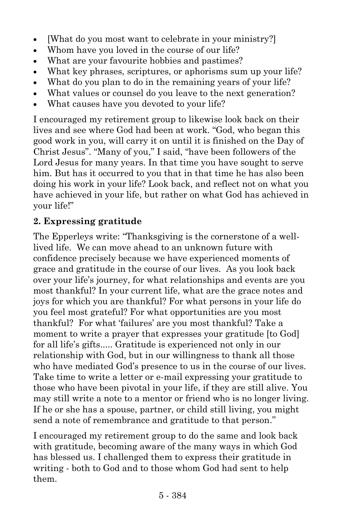- [What do you most want to celebrate in your ministry?]
- Whom have you loved in the course of our life?
- What are your favourite hobbies and pastimes?
- What key phrases, scriptures, or aphorisms sum up your life?
- What do you plan to do in the remaining years of your life?
- What values or counsel do you leave to the next generation?
- What causes have you devoted to your life?

I encouraged my retirement group to likewise look back on their lives and see where God had been at work. "God, who began this good work in you, will carry it on until it is finished on the Day of Christ Jesus". "Many of you," I said, "have been followers of the Lord Jesus for many years. In that time you have sought to serve him. But has it occurred to you that in that time he has also been doing his work in your life? Look back, and reflect not on what you have achieved in your life, but rather on what God has achieved in your life!"

#### **2. Expressing gratitude**

The Epperleys write: "Thanksgiving is the cornerstone of a welllived life. We can move ahead to an unknown future with confidence precisely because we have experienced moments of grace and gratitude in the course of our lives. As you look back over your life's journey, for what relationships and events are you most thankful? In your current life, what are the grace notes and joys for which you are thankful? For what persons in your life do you feel most grateful? For what opportunities are you most thankful? For what 'failures' are you most thankful? Take a moment to write a prayer that expresses your gratitude [to God] for all life's gifts..... Gratitude is experienced not only in our relationship with God, but in our willingness to thank all those who have mediated God's presence to us in the course of our lives. Take time to write a letter or e-mail expressing your gratitude to those who have been pivotal in your life, if they are still alive. You may still write a note to a mentor or friend who is no longer living. If he or she has a spouse, partner, or child still living, you might send a note of remembrance and gratitude to that person."

I encouraged my retirement group to do the same and look back with gratitude, becoming aware of the many ways in which God has blessed us. I challenged them to express their gratitude in writing - both to God and to those whom God had sent to help them.